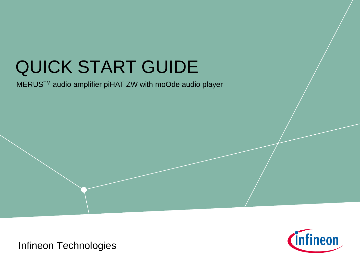# QUICK START GUIDE

MERUSTM audio amplifier piHAT ZW with moOde audio player



Infineon Technologies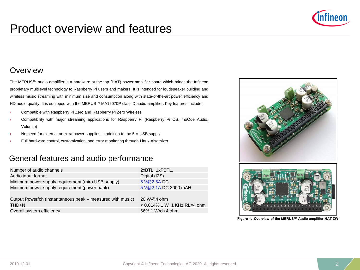

# Product overview and features

#### **Overview**

The MERUSTM audio amplifier is a hardware at the top (HAT) power amplifier board which brings the Infineon proprietary multilevel technology to Raspberry Pi users and makers. It is intended for loudspeaker building and wireless music streaming with minimum size and consumption along with state-of-the-art power efficiency and HD audio quality. It is equipped with the MERUS™ MA12070P class D audio amplifier. Key features include:

- › Compatible with Raspberry Pi Zero and Raspberry Pi Zero Wireless
- › Compatibility with major streaming applications for Raspberry Pi (Raspberry Pi OS, moOde Audio, Volumio)
- No need for external or extra power supplies in addition to the 5 V USB supply
- Full hardware control, customization, and error monitoring through Linux Alsamixer

#### General features and audio performance

| Number of audio channels                                   | 2xBTL, 1xPBTL.                 |
|------------------------------------------------------------|--------------------------------|
| Audio input format                                         | Digital (I2S)                  |
| Minimum power supply requirement (miro USB supply)         | 5 V@2.5A DC                    |
| Minimum power supply requirement (power bank)              | 5 V@2.1A DC 3000 mAH           |
|                                                            |                                |
| Output Power/ch (instantaneous peak – measured with music) | 20 W@4 ohm                     |
| THD+N                                                      | $< 0.014\%$ 1 W 1 KHz RL=4 ohm |

Overall system efficiency 66% 1 W/ch 4 ohm



**Figure 1. Overview of the MERUS™ Audio amplifier HAT ZW**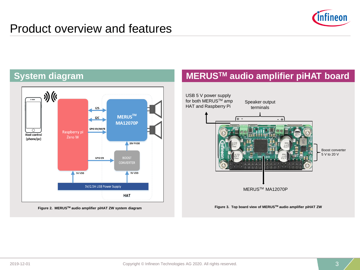



**Figure 2. MERUSTM audio amplifier piHAT ZW system diagram**

## **MERUSTM audio amplifier piHAT board**

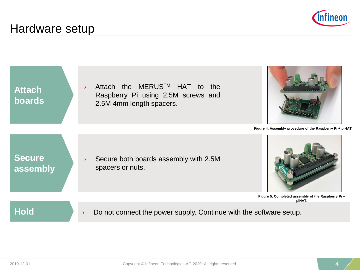

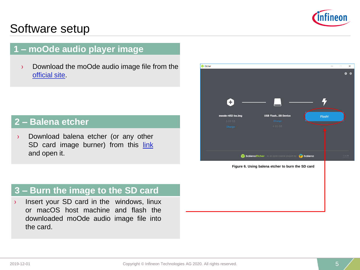

## **1 – moOde audio player image**

› Download the moOde audio image file from the [official site](https://moodeaudio.org/).

#### **2 – Balena etcher**

› Download balena etcher (or any other SD card image burner) from this [link](https://www.balena.io/etcher/) and open it.



**Figure 6. Using balena etcher to burn the SD card**

#### **3 – Burn the image to the SD card**

› Insert your SD card in the windows, linux or macOS host machine and flash the downloaded moOde audio image file into the card.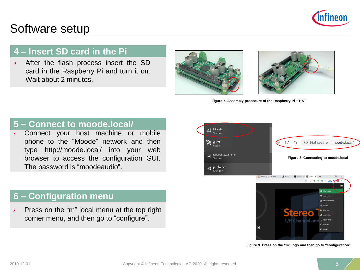

### **4 – Insert SD card in the Pi**

› After the flash process insert the SD card in the Raspberry Pi and turn it on. Wait about 2 minutes





**Figure 7. Assembly procedure of the Raspberry Pi + HAT**

#### **5 – Connect to moode.local/**

Connect your host machine or mobile phone to the "Moode" network and then type http://moode.local/ into your web browser to access the configuration GUI. The password is "moodeaudio".

#### **6 – Configuration menu**

› Press on the "m" local menu at the top right corner menu, and then go to "configure".



**Figure 9. Press on the "m" logo and then go to "configuration"**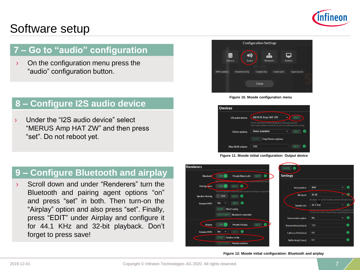

## **7 – Go to "audio" configuration**

 $\rightarrow$  On the configuration menu press the "audio" configuration button.

## **8 – Configure I2S audio device**

Under the "I2S audio device" select "MERUS Amp HAT ZW" and then press "set". Do not reboot yet.

## **9 – Configure Bluetooth and airplay**

› Scroll down and under "Renderers" turn the Bluetooth and pairing agent options "on" and press "set" in both. Then turn-on the "Airplay" option and also press "set". Finally, press "EDIT" under Airplay and configure it for 44.1 KHz and 32-bit playback. Don't forget to press save!











**Figure 12: Moode initial configuration: Bluetooth and airplay**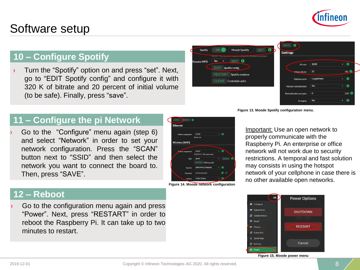

# **10 – Configure Spotify**

› Turn the "Spotify" option on and press "set". Next, go to "EDIT Spotify config" and configure it with 320 K of bitrate and 20 percent of initial volume (to be safe). Finally, press "save".



**Figure 13. Moode Spotify configuration menu.**

## **11 – Configure the pi Network**

Go to the "Configure" menu again (step 6) and select "Network" in order to set your network configuration. Press the "SCAN" button next to "SSID" and then select the network you want to connect the board to. Then, press "SAVE".



**Figure 14. Moode network configuration**

Important: Use an open network to properly communicate with the Raspberry Pi. An enterprise or office network will not work due to security restrictions. A temporal and fast solution may consists in using the hotspot network of your cellphone in case there is no other available open networks.

#### **12 – Reboot**

Go to the configuration menu again and press "Power". Next, press "RESTART" in order to reboot the Raspberry Pi. It can take up to two minutes to restart.



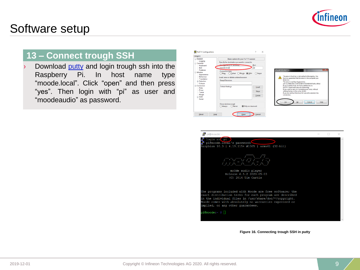

## **13 – Connect trough SSH**

Download [putty](https://www.putty.org/) and login trough ssh into the Raspberry Pi. In host name type "moode.local". Click "open" and then press "yes". Then login with "pi" as user and "moodeaudio" as password.





**Figure 16. Connecting trough SSH in putty**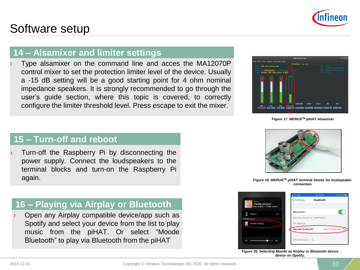

#### **14 – Alsamixer and limiter settings**

Type alsamixer on the command line and acces the MA12070P control mixer to set the protection limiter level of the device. Usually a -15 dB setting will be a good starting point for 4 ohm nominal impedance speakers. It is strongly recommended to go through the user's guide section, where this topic is covered, to correctly configure the limiter threshold level. Press escape to exit the mixer.



**Figure 17. MERUSTM piHAT Alsamixer**

## **15 – Turn-off and reboot**

Turn-off the Raspberry Pi by disconnecting the power supply. Connect the loudspeakers to the terminal blocks and turn-on the Raspberry Pi again. **Figure 19. MERUS™ piHAT terminal blocks for loudspeaker** and the state of the state of the state of the state of the state of the state of the state of the state of the state of the state of the state of the state

#### **16 – Playing via Airplay or Bluetooth**

Open any Airplay compatible device/app such as Spotify and select your device from the list to play music from the piHAT. Or select "Moode Bluetooth" to play via Bluetooth from the piHAT



**connection**



**Figure 20. Selecting Moode as Airplay or Bluetooth device device on Spotify.**